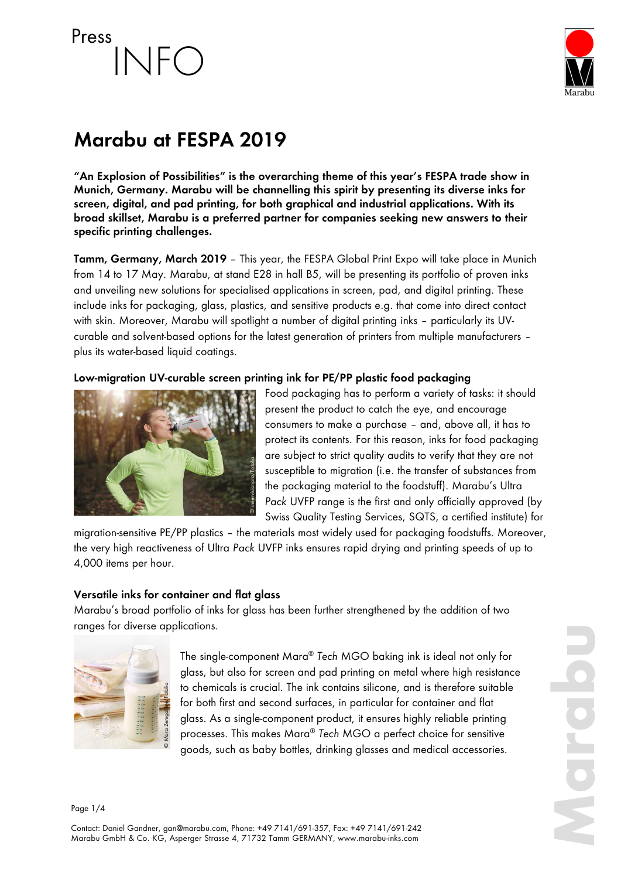# Press  $NFO$



# **Marabu at FESPA 2019**

**"An Explosion of Possibilities" is the overarching theme of this year's FESPA trade show in Munich, Germany. Marabu will be channelling this spirit by presenting its diverse inks for screen, digital, and pad printing, for both graphical and industrial applications. With its broad skillset, Marabu is a preferred partner for companies seeking new answers to their specific printing challenges.** 

**Tamm, Germany, March 2019** – This year, the FESPA Global Print Expo will take place in Munich from 14 to 17 May. Marabu, at stand E28 in hall B5, will be presenting its portfolio of proven inks and unveiling new solutions for specialised applications in screen, pad, and digital printing. These include inks for packaging, glass, plastics, and sensitive products e.g. that come into direct contact with skin. Moreover, Marabu will spotlight a number of digital printing inks - particularly its UVcurable and solvent-based options for the latest generation of printers from multiple manufacturers – plus its water-based liquid coatings.

# **Low-migration UV-curable screen printing ink for PE/PP plastic food packaging**



Food packaging has to perform a variety of tasks: it should present the product to catch the eye, and encourage consumers to make a purchase – and, above all, it has to protect its contents. For this reason, inks for food packaging are subject to strict quality audits to verify that they are not susceptible to migration (i.e. the transfer of substances from the packaging material to the foodstuff). Marabu's Ultra *Pack* UVFP range is the first and only officially approved (by Swiss Quality Testing Services, SQTS, a certified institute) for

migration-sensitive PE/PP plastics – the materials most widely used for packaging foodstuffs. Moreover, the very high reactiveness of Ultra *Pack* UVFP inks ensures rapid drying and printing speeds of up to 4,000 items per hour.

#### **Versatile inks for container and flat glass**

Marabu's broad portfolio of inks for glass has been further strengthened by the addition of two ranges for diverse applications.



The single-component Mara® *Tech* MGO baking ink is ideal not only for glass, but also for screen and pad printing on metal where high resistance to chemicals is crucial. The ink contains silicone, and is therefore suitable for both first and second surfaces, in particular for container and flat glass. As a single-component product, it ensures highly reliable printing processes. This makes Mara® *Tech* MGO a perfect choice for sensitive goods, such as baby bottles, drinking glasses and medical accessories.

**Marabu**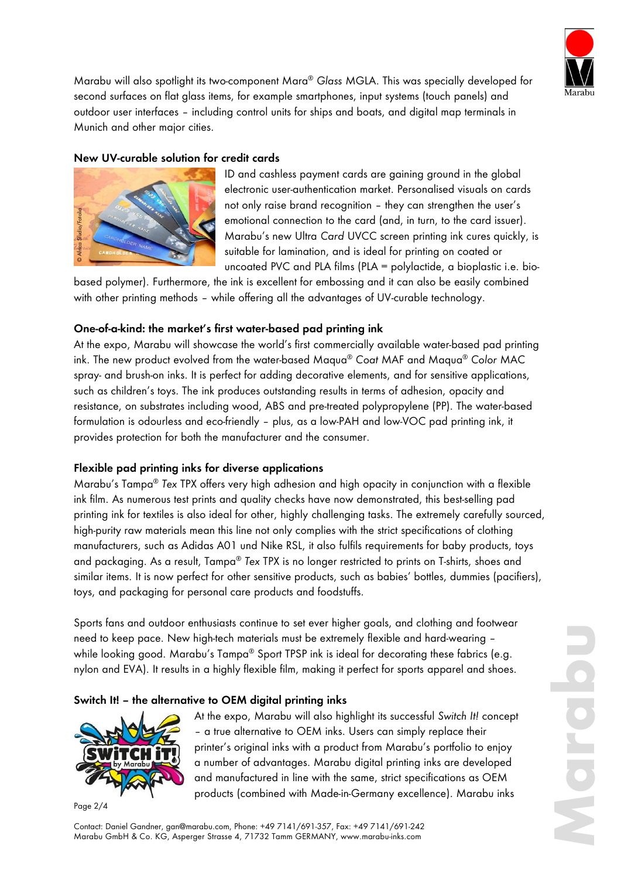

Marabu will also spotlight its two-component Mara® *Glass* MGLA. This was specially developed for second surfaces on flat glass items, for example smartphones, input systems (touch panels) and outdoor user interfaces – including control units for ships and boats, and digital map terminals in Munich and other major cities.

# **New UV-curable solution for credit cards**



ID and cashless payment cards are gaining ground in the global electronic user-authentication market. Personalised visuals on cards not only raise brand recognition – they can strengthen the user's emotional connection to the card (and, in turn, to the card issuer). Marabu's new Ultra *Card* UVCC screen printing ink cures quickly, is suitable for lamination, and is ideal for printing on coated or uncoated PVC and PLA films (PLA = polylactide, a bioplastic i.e. bio-

based polymer). Furthermore, the ink is excellent for embossing and it can also be easily combined with other printing methods – while offering all the advantages of UV-curable technology.

## **One-of-a-kind: the market's first water-based pad printing ink**

At the expo, Marabu will showcase the world's first commercially available water-based pad printing ink. The new product evolved from the water-based Maqua® *Coat* MAF and Maqua® *Color* MAC spray- and brush-on inks. It is perfect for adding decorative elements, and for sensitive applications, such as children's toys. The ink produces outstanding results in terms of adhesion, opacity and resistance, on substrates including wood, ABS and pre-treated polypropylene (PP). The water-based formulation is odourless and eco-friendly – plus, as a low-PAH and low-VOC pad printing ink, it provides protection for both the manufacturer and the consumer.

#### **Flexible pad printing inks for diverse applications**

Marabu's Tampa® *Tex* TPX offers very high adhesion and high opacity in conjunction with a flexible ink film. As numerous test prints and quality checks have now demonstrated, this best-selling pad printing ink for textiles is also ideal for other, highly challenging tasks. The extremely carefully sourced, high-purity raw materials mean this line not only complies with the strict specifications of clothing manufacturers, such as Adidas A01 und Nike RSL, it also fulfils requirements for baby products, toys and packaging. As a result, Tampa® *Tex* TPX is no longer restricted to prints on T-shirts, shoes and similar items. It is now perfect for other sensitive products, such as babies' bottles, dummies (pacifiers), toys, and packaging for personal care products and foodstuffs.

Sports fans and outdoor enthusiasts continue to set ever higher goals, and clothing and footwear need to keep pace. New high-tech materials must be extremely flexible and hard-wearing – while looking good. Marabu's Tampa® Sport TPSP ink is ideal for decorating these fabrics (e.g. nylon and EVA). It results in a highly flexible film, making it perfect for sports apparel and shoes.

#### **Switch It! – the alternative to OEM digital printing inks**



Page 2/4

At the expo, Marabu will also highlight its successful *Switch It!* concept – a true alternative to OEM inks. Users can simply replace their printer's original inks with a product from Marabu's portfolio to enjoy a number of advantages. Marabu digital printing inks are developed and manufactured in line with the same, strict specifications as OEM products (combined with Made-in-Germany excellence). Marabu inks

Contact: Daniel Gandner, gan@marabu.com, Phone: +49 7141/691-357, Fax: +49 7141/691-242 Marabu GmbH & Co. KG, Asperger Strasse 4, 71732 Tamm GERMANY, www.marabu-inks.com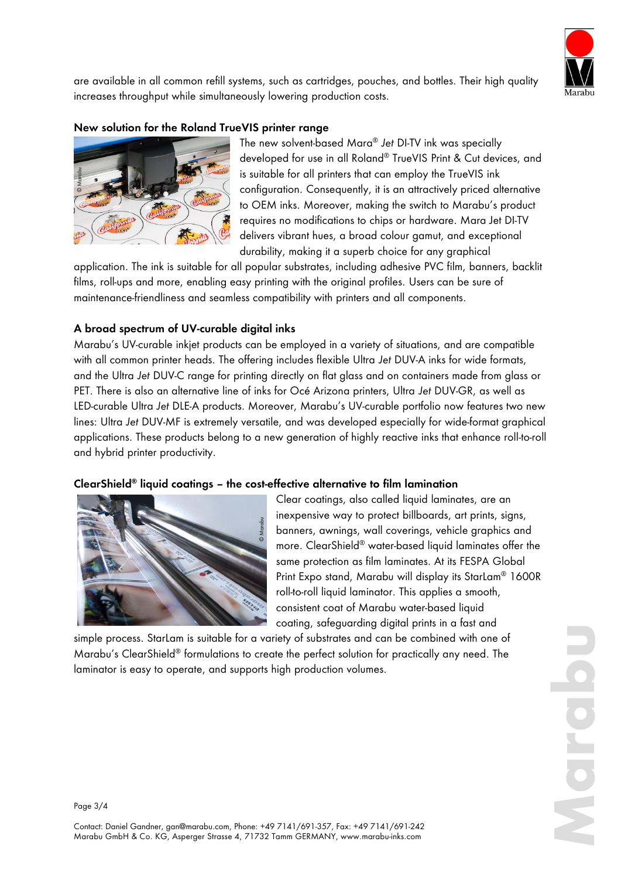

are available in all common refill systems, such as cartridges, pouches, and bottles. Their high quality increases throughput while simultaneously lowering production costs.

#### **New solution for the Roland TrueVIS printer range**



The new solvent-based Mara® *Jet* DI-TV ink was specially developed for use in all Roland® TrueVIS Print & Cut devices, and is suitable for all printers that can employ the TrueVIS ink configuration. Consequently, it is an attractively priced alternative to OEM inks. Moreover, making the switch to Marabu's product requires no modifications to chips or hardware. Mara Jet DI-TV delivers vibrant hues, a broad colour gamut, and exceptional durability, making it a superb choice for any graphical

application. The ink is suitable for all popular substrates, including adhesive PVC film, banners, backlit films, roll-ups and more, enabling easy printing with the original profiles. Users can be sure of maintenance-friendliness and seamless compatibility with printers and all components.

## **A broad spectrum of UV-curable digital inks**

Marabu's UV-curable inkjet products can be employed in a variety of situations, and are compatible with all common printer heads. The offering includes flexible Ultra *Jet* DUV-A inks for wide formats, and the Ultra *Jet* DUV-C range for printing directly on flat glass and on containers made from glass or PET. There is also an alternative line of inks for Océ Arizona printers, Ultra *Jet* DUV-GR, as well as LED-curable Ultra *Jet* DLE-A products. Moreover, Marabu's UV-curable portfolio now features two new lines: Ultra *Jet* DUV-MF is extremely versatile, and was developed especially for wide-format graphical applications. These products belong to a new generation of highly reactive inks that enhance roll-to-roll and hybrid printer productivity. is suitable for all printers that carring consignation. The ink is suitable for all proplements, it is equives to operate it is equivalently, making it a support of the consequently, it is equivalently, making the subsecti

#### **ClearShield® liquid coatings – the cost-effective alternative to film lamination**



Clear coatings, also called liquid laminates, are an inexpensive way to protect billboards, art prints, signs, banners, awnings, wall coverings, vehicle graphics and more. ClearShield® water-based liquid laminates offer the same protection as film laminates. At its FESPA Global Print Expo stand, Marabu will display its StarLam® 1600R roll-to-roll liquid laminator. This applies a smooth, consistent coat of Marabu water-based liquid coating, safeguarding digital prints in a fast and

simple process. StarLam is suitable for a variety of substrates and can be combined with one of Marabu's ClearShield® formulations to create the perfect solution for practically any need. The